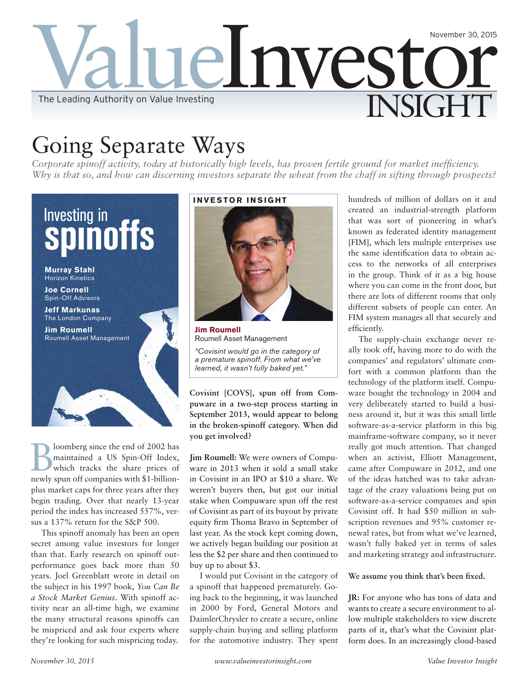

# Going Separate Ways

*Corporate spinoff activity, today at historically high levels, has proven fertile ground for market inefficiency. Why is that so, and how can discerning investors separate the wheat from the chaff in sifting through prospects?* 



loomberg since the end of 2002 has maintained a US Spin-Off Index, which tracks the share prices of newly spun off companies with \$1-billionplus market caps for three years after they begin trading. Over that nearly 13-year period the index has increased 557%, versus a 137% return for the S&P 500.

This spinoff anomaly has been an open secret among value investors for longer than that. Early research on spinoff outperformance goes back more than 50 years. Joel Greenblatt wrote in detail on the subject in his 1997 book, *You Can Be a Stock Market Genius*. With spinoff activity near an all-time high, we examine the many structural reasons spinoffs can be mispriced and ask four experts where they're looking for such mispricing today.

# **INVESTOR INSIGHT**

**Jim Roumell** Roumell Asset Management

*"Covisint would go in the category of a premature spinoff. From what we've learned, it wasn't fully baked yet."*

**Covisint [COVS], spun off from Compuware in a two-step process starting in September 2013, would appear to belong in the broken-spinoff category. When did you get involved?**

**Jim Roumell:** We were owners of Compuware in 2013 when it sold a small stake in Covisint in an IPO at \$10 a share. We weren't buyers then, but got our initial stake when Compuware spun off the rest of Covisint as part of its buyout by private equity firm Thoma Bravo in September of last year. As the stock kept coming down, we actively began building our position at less the \$2 per share and then continued to buy up to about \$3.

I would put Covisint in the category of a spinoff that happened prematurely. Going back to the beginning, it was launched in 2000 by Ford, General Motors and DaimlerChrysler to create a secure, online supply-chain buying and selling platform for the automotive industry. They spent hundreds of million of dollars on it and created an industrial-strength platform that was sort of pioneering in what's known as federated identity management [FIM], which lets multiple enterprises use the same identification data to obtain access to the networks of all enterprises in the group. Think of it as a big house where you can come in the front door, but there are lots of different rooms that only different subsets of people can enter. An FIM system manages all that securely and efficiently.

The supply-chain exchange never really took off, having more to do with the companies' and regulators' ultimate comfort with a common platform than the technology of the platform itself. Compuware bought the technology in 2004 and very deliberately started to build a business around it, but it was this small little software-as-a-service platform in this big mainframe-software company, so it never really got much attention. That changed when an activist, Elliott Management, came after Compuware in 2012, and one of the ideas hatched was to take advantage of the crazy valuations being put on software-as-a-service companies and spin Covisint off. It had \$50 million in subscription revenues and 95% customer renewal rates, but from what we've learned, wasn't fully baked yet in terms of sales and marketing strategy and infrastructure.

**We assume you think that's been fixed.**

**JR:** For anyone who has tons of data and wants to create a secure environment to allow multiple stakeholders to view discrete parts of it, that's what the Covisint platform does. In an increasingly cloud-based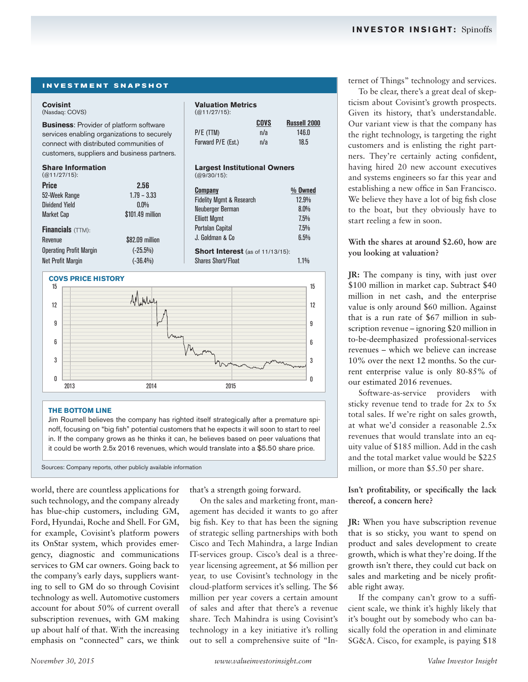### **INVESTMENT SNAPSHOT**

### **Covisint**

(Nasdaq: COVS)

**Business**: Provider of platform software services enabling organizations to securely connect with distributed communities of customers, suppliers and business partners.

### **Share Information**

| $(Q11/27/15)$ :                                                      |                                                      | $(QQ/30/15)$ :                                                                                   |
|----------------------------------------------------------------------|------------------------------------------------------|--------------------------------------------------------------------------------------------------|
| <b>Price</b><br>52-Week Range<br><b>Dividend Yield</b><br>Market Cap | 2.56<br>$1.79 - 3.33$<br>$0.0\%$<br>\$101.49 million | <b>Company</b><br><b>Fidelity Mgmt &amp; Research</b><br>Neuberger Berman<br><b>Elliott Mamt</b> |
| <b>Financials</b> (TTM):                                             |                                                      | <b>Portolan Capital</b><br>J. Goldman & Co                                                       |
| Revenue                                                              | \$82,09 million                                      |                                                                                                  |
| <b>Operating Profit Margin</b>                                       | $(-25.5%)$                                           | <b>Short Interest (as of 1</b>                                                                   |
| <b>Net Profit Margin</b>                                             | $(-36.4%)$                                           | <b>Shares Short/Float</b>                                                                        |
|                                                                      |                                                      |                                                                                                  |

### **COVS PRICE HISTORY**

### **Valuation Metrics**

| COVS | <b>Russell 2000</b> |
|------|---------------------|
| n/a  | 146.0               |
| n/a  | 18.5                |
|      |                     |

### **Largest Institutional Owners** (@9/30/15):

| 2.56<br>$1.79 - 3.33$<br>$0.0\%$<br>\$101.49 million |                          | <b>Company</b><br><b>Fidelity Mgmt &amp; Research</b><br>Neuberger Berman<br><b>Elliott Mgmt</b><br><b>Portolan Capital</b> | $%$ Owned<br>12.9%<br>$8.0\%$<br>7.5%<br>7.5% |
|------------------------------------------------------|--------------------------|-----------------------------------------------------------------------------------------------------------------------------|-----------------------------------------------|
|                                                      | \$82.09 million          | J. Goldman & Co                                                                                                             | 6.5%                                          |
| in                                                   | $(-25.5%)$<br>$(-36.4%)$ | <b>Short Interest</b> (as of 11/13/15):<br><b>Shares Short/Float</b>                                                        | 1.1%                                          |



### **THE BOTTOM LINE**

Jim Roumell believes the company has righted itself strategically after a premature spinoff, focusing on "big fish" potential customers that he expects it will soon to start to reel in. If the company grows as he thinks it can, he believes based on peer valuations that it could be worth 2.5x 2016 revenues, which would translate into a \$5.50 share price.

Sources: Company reports, other publicly available information

world, there are countless applications for such technology, and the company already has blue-chip customers, including GM, Ford, Hyundai, Roche and Shell. For GM, for example, Covisint's platform powers its OnStar system, which provides emergency, diagnostic and communications services to GM car owners. Going back to the company's early days, suppliers wanting to sell to GM do so through Covisint technology as well. Automotive customers account for about 50% of current overall subscription revenues, with GM making up about half of that. With the increasing emphasis on "connected" cars, we think

that's a strength going forward.

On the sales and marketing front, management has decided it wants to go after big fish. Key to that has been the signing of strategic selling partnerships with both Cisco and Tech Mahindra, a large Indian IT-services group. Cisco's deal is a threeyear licensing agreement, at \$6 million per year, to use Covisint's technology in the cloud-platform services it's selling. The \$6 million per year covers a certain amount of sales and after that there's a revenue share. Tech Mahindra is using Covisint's technology in a key initiative it's rolling out to sell a comprehensive suite of "Internet of Things" technology and services.

To be clear, there's a great deal of skepticism about Covisint's growth prospects. Given its history, that's understandable. Our variant view is that the company has the right technology, is targeting the right customers and is enlisting the right partners. They're certainly acting confident, having hired 20 new account executives and systems engineers so far this year and establishing a new office in San Francisco. We believe they have a lot of big fish close to the boat, but they obviously have to start reeling a few in soon.

### **With the shares at around \$2.60, how are you looking at valuation?**

**JR:** The company is tiny, with just over \$100 million in market cap. Subtract \$40 million in net cash, and the enterprise value is only around \$60 million. Against that is a run rate of \$67 million in subscription revenue – ignoring \$20 million in to-be-deemphasized professional-services revenues – which we believe can increase 10% over the next 12 months. So the current enterprise value is only 80-85% of our estimated 2016 revenues.

Software-as-service providers with sticky revenue tend to trade for 2x to 5x total sales. If we're right on sales growth, at what we'd consider a reasonable 2.5x revenues that would translate into an equity value of \$185 million. Add in the cash and the total market value would be \$225 million, or more than \$5.50 per share.

**Isn't profitability, or specifically the lack thereof, a concern here?**

**JR:** When you have subscription revenue that is so sticky, you want to spend on product and sales development to create growth, which is what they're doing. If the growth isn't there, they could cut back on sales and marketing and be nicely profitable right away.

If the company can't grow to a sufficient scale, we think it's highly likely that it's bought out by somebody who can basically fold the operation in and eliminate SG&A. Cisco, for example, is paying \$18